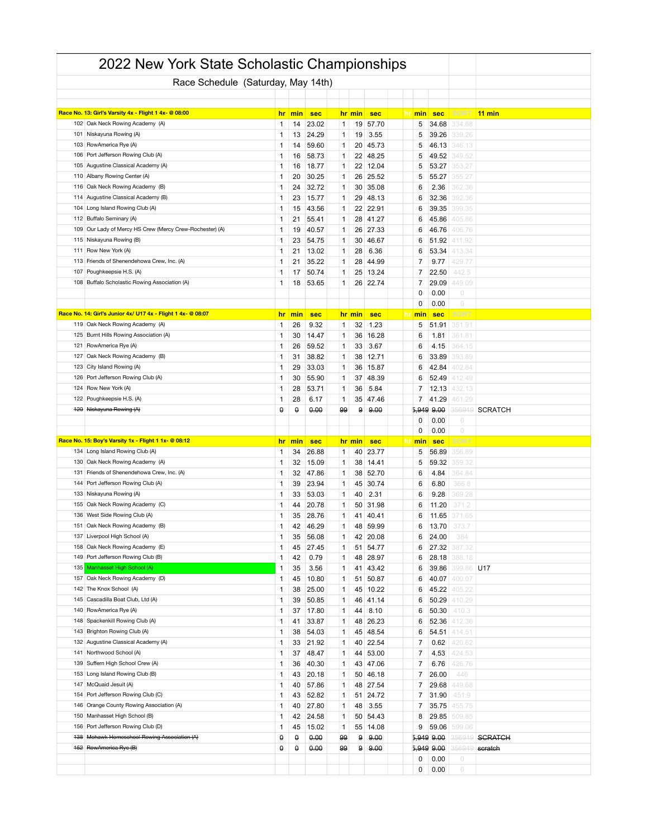|            | 2022 New York State Scholastic Championships                                                |                   |          |                |        |          |                     |        |                |                  |                |
|------------|---------------------------------------------------------------------------------------------|-------------------|----------|----------------|--------|----------|---------------------|--------|----------------|------------------|----------------|
|            | Race Schedule (Saturday, May 14th)                                                          |                   |          |                |        |          |                     |        |                |                  |                |
|            |                                                                                             |                   |          |                |        |          |                     |        |                |                  |                |
|            | Race No. 13: Girl's Varsity 4x - Flight 1 4x- @ 08:00                                       | hr.               | min      | <b>sec</b>     |        | hr min   | <b>sec</b>          | hr min | <b>sec</b>     | <b>SORT</b>      | $11$ min       |
|            | 102 Oak Neck Rowing Academy (A)                                                             | 1                 | 14       | 23.02          | 1      | 19       | 57.70               | 5      | 34.68          | 334.68           |                |
|            | 101 Niskayuna Rowing (A)                                                                    | 1                 | 13       | 24.29          | 1      | 19       | 3.55                | 5      | 39.26          | 339.26           |                |
|            | 103 RowAmerica Rye (A)                                                                      | 1                 | 14       | 59.60          | 1      | 20       | 45.73               | 5      | 46.13          | 346.13           |                |
| 106        | Port Jefferson Rowing Club (A)                                                              | 1                 | 16       | 58.73          | 1      | 22       | 48.25               | 5      | 49.52          | 349.52           |                |
| 105        | Augustine Classical Academy (A)                                                             | 1                 | 16       | 18.77          | 1      | 22       | 12.04               | 5      | 53.27          | 353.21           |                |
|            | 110 Albany Rowing Center (A)                                                                | 1                 | 20       | 30.25          | 1      | 26       | 25.52               | 5      | 55.27          | 355.27           |                |
| 116<br>114 | Oak Neck Rowing Academy (B)<br>Augustine Classical Academy (B)                              | 1<br>1            | 24       | 32.72          | 1<br>1 | 30<br>29 | 35.08<br>48.13      | 6<br>6 | 2.36<br>32.36  | 362.36<br>392.36 |                |
| 104        | Long Island Rowing Club (A)                                                                 | 1                 | 23<br>15 | 15.77<br>43.56 | 1      | 22       | 22.91               | 6      | 39.35          | 399.35           |                |
|            | 112 Buffalo Seminary (A)                                                                    | 1                 | 21       | 55.41          | 1      | 28       | 41.27               | 6      | 45.86          | 405.86           |                |
| 109        | Our Lady of Mercy HS Crew (Mercy Crew-Rochester) (A)                                        | 1                 | 19       | 40.57          | 1      | 26       | 27.33               | 6      | 46.76          | 406.76           |                |
|            | 115 Niskayuna Rowing (B)                                                                    | 1                 | 23       | 54.75          | 1      | 30       | 46.67               | 6      | 51.92          | 411.92           |                |
|            | 111 Row New York (A)                                                                        | 1                 | 21       | 13.02          | 1      | 28       | 6.36                | 6      | 53.34          | 413.34           |                |
| 113        | Friends of Shenendehowa Crew, Inc. (A)                                                      | 1                 | 21       | 35.22          | 1      | 28       | 44.99               | 7      | 9.77           | 429.77           |                |
| 107        | Poughkeepsie H.S. (A)                                                                       | $\mathbf{1}$      | 17       | 50.74          | 1      | 25       | 13.24               | 7      | 22.50          | 442.5            |                |
|            | 108 Buffalo Scholastic Rowing Association (A)                                               | 1                 | 18       | 53.65          | 1      | 26       | 22.74               | 7      | 29.09          | 449.09           |                |
|            |                                                                                             |                   |          |                |        |          |                     | 0      | 0.00           | 0                |                |
|            |                                                                                             |                   |          |                |        |          |                     | 0      | 0.00           | $\circ$          |                |
| 119        | Race No. 14: Girl's Junior 4x/ U17 4x - Flight 1 4x- @ 08:07<br>Oak Neck Rowing Academy (A) | <u>hr</u>         | min      | <b>sec</b>     |        | hr min   | <b>sec</b>          | hr min | <b>sec</b>     | SOR1             |                |
| 125        | Burnt Hills Rowing Association (A)                                                          | 1<br>$\mathbf{1}$ | 26<br>30 | 9.32<br>14.47  | 1<br>1 | 32<br>36 | 1.23<br>16.28       | 5<br>6 | 51.91<br>1.81  | 351.91<br>361.81 |                |
|            | 121 RowAmerica Rye (A)                                                                      | 1                 | 26       | 59.52          | 1      | 33       | 3.67                | 6      | 4.15           | 364.15           |                |
| 127        | Oak Neck Rowing Academy (B)                                                                 | 1                 | 31       | 38.82          | 1      | 38       | 12.71               | 6      | 33.89          | 393.89           |                |
|            | 123 City Island Rowing (A)                                                                  | 1                 | 29       | 33.03          | 1      | 36       | 15.87               | 6      | 42.84          | 402.84           |                |
| 126        | Port Jefferson Rowing Club (A)                                                              | 1                 | 30       | 55.90          | 1      | 37       | 48.39               | 6      | 52.49          | 412.49           |                |
| 124        | Row New York (A)                                                                            | 1                 | 28       | 53.71          | 1      | 36       | 5.84                | 7      | 12.13          | 432.13           |                |
|            | 122 Poughkeepsie H.S. (A)                                                                   | 1                 | 28       | 6.17           | 1      | 35       | 47.46               | 7      | 41.29          | 461.29           |                |
|            | 120 Niskayuna Rowing (A)                                                                    | θ                 | θ        | 0.00           | 99     | 9        | 9.00                | 5,949  | 9.00           | 156949           | <b>SCRATCH</b> |
|            |                                                                                             |                   |          |                |        |          |                     | 0      | 0.00           | $\circ$          |                |
|            |                                                                                             |                   |          |                |        |          |                     | 0      | 0.00           | $\circ$          |                |
|            | Race No. 15: Boy's Varsity 1x - Flight 1 1x- @ 08:12<br>134 Long Island Rowing Club (A)     | <u>hr</u>         | min      | <b>sec</b>     |        | hr min   | <b>sec</b><br>23.77 | hr min | <b>sec</b>     | SORT             |                |
|            | 130 Oak Neck Rowing Academy (A)                                                             | 1<br>$\mathbf{1}$ | 34<br>32 | 26.88<br>15.09 | 1<br>1 | 40<br>38 | 14.41               | 5<br>5 | 56.89<br>59.32 | 356.89<br>359.32 |                |
|            | 131 Friends of Shenendehowa Crew, Inc. (A)                                                  | 1                 | 32       | 47.86          | 1      | 38       | 52.70               | 6      | 4.84           | 364.84           |                |
| 144        | Port Jefferson Rowing Club (A)                                                              | 1                 | 39       | 23.94          | 1      | 45       | 30.74               | 6      | 6.80           | 366.8            |                |
|            | 133 Niskayuna Rowing (A)                                                                    | $\mathbf{1}$      | 33       | 53.03          | 1      | 40       | 2.31                | 6      | 9.28           | 369.28           |                |
|            | 155 Oak Neck Rowing Academy (C)                                                             | 1                 | 44       | 20.78          | 1      | 50       | 31.98               | 6      | 11.20          | 371.2            |                |
| 136        | West Side Rowing Club (A)                                                                   | 1                 | 35       | 28.76          | 1      |          | 41 40.41            | 6      | 11.65          | 371.65           |                |
|            | 151 Oak Neck Rowing Academy (B)                                                             | $\mathbf{1}$      | 42       | 46.29          | 1      | 48       | 59.99               | 6      | 13.70          |                  |                |
|            | 137 Liverpool High School (A)                                                               | 1                 | 35       | 56.08          | 1      |          | 42 20.08            | 6      | 24.00          | 384              |                |
| 158        | Oak Neck Rowing Academy (E)                                                                 | 1                 | 45       | 27.45          | 1      | 51       | 54.77               | 6      | 27.32          | 387.32           |                |
| 149        | Port Jefferson Rowing Club (B)                                                              | 1                 | 42       | 0.79           | 1      |          | 48 28.97            | 6      | 28.18          | 388.18           |                |
| 135        | Manhasset High School (A)<br>157 Oak Neck Rowing Academy (D)                                | 1                 | 35       | 3.56           | 1      |          | 41 43.42            | 6      | 39.86          | 399.86           | U17            |
|            | 142 The Knox School (A)                                                                     | 1<br>1            | 45<br>38 | 10.80<br>25.00 | 1<br>1 | 51<br>45 | 50.87<br>10.22      | 6<br>6 | 40.07<br>45.22 | 400.07<br>405.22 |                |
| 145        | Cascadilla Boat Club, Ltd (A)                                                               | 1                 | 39       | 50.85          | 1      | 46       | 41.14               | 6      | 50.29          | 410.29           |                |
| 140        | RowAmerica Rye (A)                                                                          | 1                 | 37       | 17.80          | 1      | 44       | 8.10                | 6      | 50.30          | 410.3            |                |
| 148        | Spackenkill Rowing Club (A)                                                                 | $\mathbf{1}$      | 41       | 33.87          | 1      | 48       | 26.23               | 6      | 52.36          | 412.36           |                |
|            | 143 Brighton Rowing Club (A)                                                                | 1                 | 38       | 54.03          | 1      | 45       | 48.54               | 6      | 54.51          | 414.51           |                |
| 132        | Augustine Classical Academy (A)                                                             | 1                 | 33       | 21.92          | 1      | 40       | 22.54               | 7      | 0.62           | 420.62           |                |
|            | 141 Northwood School (A)                                                                    | 1                 | 37       | 48.47          | 1      | 44       | 53.00               | 7      | 4.53           | 424.53           |                |
| 139        | Suffern High School Crew (A)                                                                | 1                 | 36       | 40.30          | 1      |          | 43 47.06            | 7      | 6.76           | 426.76           |                |
| 153        | Long Island Rowing Club (B)                                                                 | 1                 | 43       | 20.18          | 1      | 50       | 46.18               | 7      | 26.00          | 446              |                |
|            | 147 McQuaid Jesuit (A)                                                                      | 1                 | 40       | 57.86          | 1      | 48       | 27.54               | 7      | 29.68          | 449.68           |                |
| 146        | 154 Port Jefferson Rowing Club (C)<br>Orange County Rowing Association (A)                  | 1<br>1            | 43<br>40 | 52.82<br>27.80 | 1      | 48       | 51 24.72<br>3.55    | 7<br>7 | 31.90<br>35.75 | 451.9<br>455.75  |                |
|            | 150 Manhasset High School (B)                                                               | 1                 | 42       | 24.58          | 1<br>1 | 50       | 54.43               | 8      | 29.85          | 509.85           |                |
|            | 156 Port Jefferson Rowing Club (D)                                                          | 1                 | 45       | 15.02          | 1      | 55       | 14.08               | 9      | 59.06          | 599.06           |                |
| 138        | Mohawk Homeschool Rowing Association (A)                                                    | θ                 | θ        | 0.00           | 99     | 9        | 9.00                |        | 5,949 9.00     | 356949           | <b>SCRATCH</b> |
|            | 452 RowAmerica Rye (B)                                                                      | θ                 | θ        | 0.00           | 99     |          | $9 \ 9.00$          |        | 5,949 9.00     | 356949           | scratch        |
|            |                                                                                             |                   |          |                |        |          |                     | 0      | 0.00           | 0                |                |
|            |                                                                                             |                   |          |                |        |          |                     | 0      | 0.00           | $\bigcirc$       |                |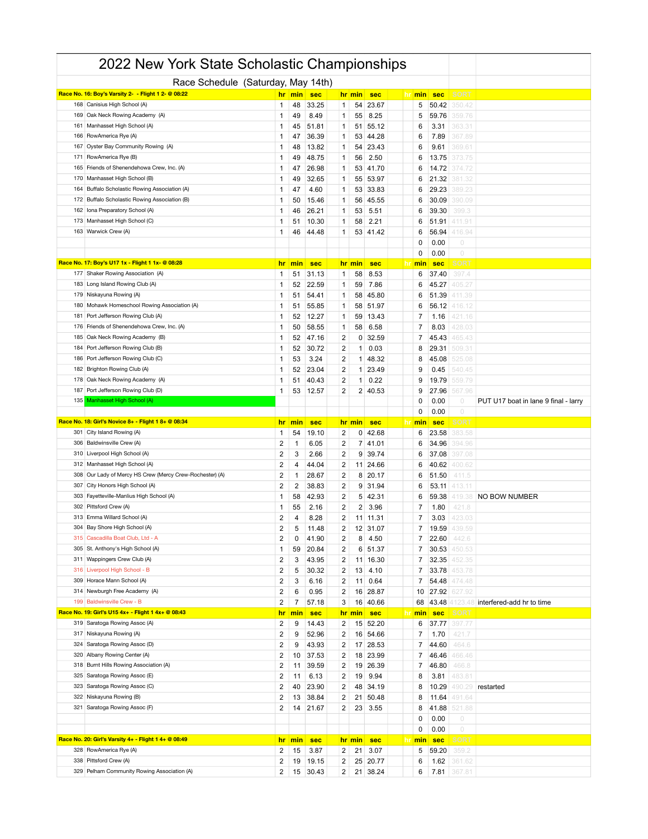|            | 2022 New York State Scholastic Championships                                     |                                           |                |                |                              |        |                      |                |                    |                        |                                      |
|------------|----------------------------------------------------------------------------------|-------------------------------------------|----------------|----------------|------------------------------|--------|----------------------|----------------|--------------------|------------------------|--------------------------------------|
|            | Race Schedule (Saturday, May 14th)                                               |                                           |                |                |                              |        |                      |                |                    |                        |                                      |
|            | Race No. 16: Boy's Varsity 2- - Flight 1 2- @ 08:22                              | <u>hr</u>                                 | min            | <b>sec</b>     |                              | hr min | <b>sec</b>           | <b>hr</b> min  | <b>sec</b>         | <b>SORT</b>            |                                      |
| 168        | Canisius High School (A)                                                         | $\mathbf{1}$                              | 48             | 33.25          | $\mathbf{1}$                 | 54     | 23.67                | 5              | 50.42              | 350.42                 |                                      |
| 169        | Oak Neck Rowing Academy (A)                                                      | 1                                         | 49             | 8.49           | 1                            | 55     | 8.25                 | 5              | 59.76              | 359.76                 |                                      |
| 161        | Manhasset High School (A)                                                        | 1                                         | 45             | 51.81          | 1                            | 51     | 55.12                | 6              | 3.31               | 363.31                 |                                      |
| 166        | RowAmerica Rye (A)                                                               | 1                                         | 47             | 36.39          | 1                            | 53     | 44.28                | 6              | 7.89               | 367.89                 |                                      |
| 167        | Oyster Bay Community Rowing (A)                                                  | 1                                         | 48             | 13.82          | 1                            | 54     | 23.43                | 6              | 9.61               | 369.61                 |                                      |
| 171        | RowAmerica Rye (B)                                                               | 1                                         | 49             | 48.75          | 1                            | 56     | 2.50                 | 6              | 13.75              | 373.75                 |                                      |
| 165        | Friends of Shenendehowa Crew, Inc. (A)                                           | 1                                         | 47             | 26.98          | 1                            | 53     | 41.70                | 6              | 14.72              | 374.72                 |                                      |
| 170        | Manhasset High School (B)                                                        | 1                                         | 49             | 32.65          | 1                            | 55     | 53.97                | 6              | 21.32              | 381.32                 |                                      |
| 164        | Buffalo Scholastic Rowing Association (A)                                        | 1                                         | 47             | 4.60           | 1                            | 53     | 33.83                | 6              | 29.23              | 389.23                 |                                      |
| 172        | Buffalo Scholastic Rowing Association (B)                                        | 1                                         | 50             | 15.46          | 1                            | 56     | 45.55                | 6              | 30.09              | 390.09                 |                                      |
| 162        | Iona Preparatory School (A)                                                      | 1                                         | 46             | 26.21          | 1                            | 53     | 5.51                 | 6              | 39.30              | 399.3                  |                                      |
|            | 173 Manhasset High School (C)<br>163 Warwick Crew (A)                            | 1                                         | 51             | 10.30          | 1                            | 58     | 2.21                 | 6              | 51.91              | 411.91                 |                                      |
|            |                                                                                  | 1                                         | 46             | 44.48          | 1                            |        | 53 41.42             | 6<br>0         | 56.94<br>0.00      | 416.94<br>0            |                                      |
|            |                                                                                  |                                           |                |                |                              |        |                      | 0              | 0.00               | $\circ$                |                                      |
|            | Race No. 17: Boy's U17 1x - Flight 1 1x- @ 08:28                                 | <u>hr</u>                                 | min            | <b>sec</b>     |                              | hr min | <b>sec</b>           | <u> hr min</u> | <b>sec</b>         | <b>SOR1</b>            |                                      |
|            | 177 Shaker Rowing Association (A)                                                | 1                                         | 51             | 31.13          | 1                            | 58     | 8.53                 | 6              | 37.40              | 397.4                  |                                      |
| 183        | Long Island Rowing Club (A)                                                      | 1                                         | 52             | 22.59          | 1                            | 59     | 7.86                 | 6              | 45.27              | 405.21                 |                                      |
| 179        | Niskayuna Rowing (A)                                                             | 1                                         | 51             | 54.41          | 1                            | 58     | 45.80                | 6              | 51.39              | 411.39                 |                                      |
| 180        | Mohawk Homeschool Rowing Association (A)                                         | 1                                         | 51             | 55.85          | 1                            | 58     | 51.97                | 6              | 56.12              | 416.12                 |                                      |
| 181        | Port Jefferson Rowing Club (A)                                                   | 1                                         | 52             | 12.27          | 1                            | 59     | 13.43                | 7              | 1.16               | 421.16                 |                                      |
|            | 176 Friends of Shenendehowa Crew, Inc. (A)                                       | 1                                         | 50             | 58.55          | 1                            | 58     | 6.58                 | 7              | 8.03               | 428.03                 |                                      |
| 185        | Oak Neck Rowing Academy (B)                                                      | 1                                         | 52             | 47.16          | 2                            | 0      | 32.59                | 7              | 45.43              | 465.43                 |                                      |
| 184        | Port Jefferson Rowing Club (B)                                                   | 1                                         | 52             | 30.72          | 2                            | 1      | 0.03                 | 8              | 29.31              | 509.31                 |                                      |
| 186        | Port Jefferson Rowing Club (C)                                                   | 1                                         | 53             | 3.24           | 2                            | 1      | 48.32                | 8              | 45.08              | 525.08                 |                                      |
| 182        | Brighton Rowing Club (A)                                                         | 1                                         | 52             | 23.04          | 2                            | 1      | 23.49                | 9              | 0.45               | 540.45                 |                                      |
| 178        | Oak Neck Rowing Academy (A)                                                      | 1                                         | 51             | 40.43          | 2                            | 1      | 0.22                 | 9              | 19.79              | 559.79                 |                                      |
|            | 187 Port Jefferson Rowing Club (D)                                               | 1                                         | 53             | 12.57          | $\overline{2}$               |        | $2 \mid 40.53$       | 9              | 27.96              | 567.96                 |                                      |
| 135        | Manhasset High School (A)                                                        |                                           |                |                |                              |        |                      | 0              | 0.00               | 0                      | PUT U17 boat in lane 9 final - larry |
|            | Race No. 18: Girl's Novice 8+ - Flight 1 8+ @ 08:34                              | <u>hr</u>                                 | min            | <b>sec</b>     |                              | hr min | <b>sec</b>           | 0<br>hr<br>min | 0.00<br><b>sec</b> | $\circ$<br><b>SOR1</b> |                                      |
|            |                                                                                  |                                           |                |                |                              |        |                      |                |                    |                        |                                      |
|            |                                                                                  |                                           |                |                |                              |        |                      |                |                    |                        |                                      |
| 301<br>306 | City Island Rowing (A)                                                           | 1                                         | 54             | 19.10          | 2                            | 0      | 42.68                | 6              | 23.58              | 383.58                 |                                      |
| 310        | Baldwinsville Crew (A)<br>Liverpool High School (A)                              | $\overline{\mathbf{c}}$                   | $\mathbf{1}$   | 6.05           | 2                            | 9      | 7 41.01              | 6              | 34.96              | 394.96                 |                                      |
| 312        | Manhasset High School (A)                                                        | $\overline{2}$<br>$\overline{\mathbf{c}}$ | 3<br>4         | 2.66<br>44.04  | $\overline{\mathbf{c}}$<br>2 |        | 39.74<br>11 24.66    | 6<br>6         | 37.08<br>40.62     | 397.08<br>400.62       |                                      |
| 308        | Our Lady of Mercy HS Crew (Mercy Crew-Rochester) (A)                             | $\overline{2}$                            | $\mathbf 1$    | 28.67          | 2                            | 8      | 20.17                | 6              | 51.50              | 411.5                  |                                      |
| 307        | City Honors High School (A)                                                      | $\overline{2}$                            | $\overline{2}$ | 38.83          | 2                            | 9      | 31.94                | 6              | 53.11              | 413.11                 |                                      |
| 303        | Fayetteville-Manlius High School (A)                                             | 1                                         | 58             | 42.93          | 2                            |        | 5 42.31              | 6              | 59.38              | 419.38                 | NO BOW NUMBER                        |
| 302        | Pittsford Crew (A)                                                               | 1                                         | 55             | 2.16           | $\overline{\mathbf{c}}$      | 2      | 3.96                 | 7              | 1.80               | 421.8                  |                                      |
|            | 313 Emma Willard School (A)                                                      | $\overline{2}$                            | 4              | 8.28           | 2                            |        | 11 11.31             | 7              | 3.03               | 423.03                 |                                      |
|            | 304 Bay Shore High School (A)                                                    | $\mathbf 2$                               | 5              | 11.48          | $\overline{\mathbf{c}}$      |        | 12 31.07             | $\overline{7}$ | 19.59              | 439.59                 |                                      |
|            | 315 Cascadilla Boat Club, Ltd - A                                                | 2                                         | 0              | 41.90          | 2                            | 8      | 4.50                 | 7              | 22.60              | 442.6                  |                                      |
|            | 305 St. Anthony's High School (A)                                                | 1                                         | 59             | 20.84          | 2                            | 6      | 51.37                | 7              | 30.53              | 450.53                 |                                      |
| 311        | Wappingers Crew Club (A)                                                         | 2                                         | 3              | 43.95          | 2                            | 11     | 16.30                | 7              | 32.35              | 452.35                 |                                      |
|            | 316 Liverpool High School - B                                                    | $\overline{\mathbf{c}}$                   | 5              | 30.32          | 2                            | 13     | 4.10                 | 7              | 33.78              | 453.78                 |                                      |
|            | 309 Horace Mann School (A)                                                       | 2                                         | 3              | 6.16           | 2                            | 11     | 0.64                 | 7              | 54.48              | 474.48                 |                                      |
|            | 314 Newburgh Free Academy (A)                                                    | $\overline{\mathbf{c}}$                   | 6              | 0.95           | 2                            | 16     | 28.87                | 10             | 27.92              | 627.92                 |                                      |
|            | 199 Baldwinsville Crew - B<br>Race No. 19: Girl's U15 4x+ - Flight 1 4x+ @ 08:43 | $\overline{\mathbf{c}}$                   | 7              | 57.18          | 3                            | 16     | 40.66                | 68             | 43.48              | 123.48                 | interfered-add hr to time            |
| 319        | Saratoga Rowing Assoc (A)                                                        | hr                                        | min            | <b>sec</b>     |                              | hr min | <b>sec</b>           | hr<br>min      | <b>sec</b>         | <b>SORT</b>            |                                      |
|            | 317 Niskayuna Rowing (A)                                                         | 2<br>$\overline{\mathbf{c}}$              | 9<br>9         | 14.43<br>52.96 | 2<br>2                       | 16     | 15 52.20<br>54.66    | 6<br>7         | 37.77<br>1.70      | 397.77<br>421.7        |                                      |
| 324        | Saratoga Rowing Assoc (D)                                                        | 2                                         | 9              | 43.93          | 2                            |        | 17 28.53             | 7              | 44.60              | 464.6                  |                                      |
| 320        | Albany Rowing Center (A)                                                         | $\overline{\mathbf{c}}$                   | 10             | 37.53          | 2                            | 18     | 23.99                | 7              | 46.46              | 466.46                 |                                      |
|            | 318 Burnt Hills Rowing Association (A)                                           | $\overline{\mathbf{c}}$                   | 11             | 39.59          | 2                            | 19     | 26.39                | 7              | 46.80              | 466.8                  |                                      |
| 325        | Saratoga Rowing Assoc (E)                                                        | $\overline{\mathbf{c}}$                   | 11             | 6.13           | 2                            | 19     | 9.94                 | 8              | 3.81               | 483.81                 |                                      |
| 323        | Saratoga Rowing Assoc (C)                                                        | $\overline{\mathbf{c}}$                   | 40             | 23.90          | 2                            | 48     | 34.19                | 8              | 10.29              | 490.29                 | restarted                            |
|            | 322 Niskayuna Rowing (B)                                                         | 2                                         | 13             | 38.84          | 2                            | 21     | 50.48                | 8              | 11.64              | 491.64                 |                                      |
|            | 321 Saratoga Rowing Assoc (F)                                                    | $\overline{2}$                            | 14             | 21.67          | 2                            | 23     | 3.55                 | 8              | 41.88              | 521.88                 |                                      |
|            |                                                                                  |                                           |                |                |                              |        |                      | 0              | 0.00               | $\bigcirc$             |                                      |
|            |                                                                                  |                                           |                |                |                              |        |                      | 0              | 0.00               | $\circlearrowright$    |                                      |
|            | Race No. 20: Girl's Varsity 4+ - Flight 1 4+ @ 08:49                             | <u>hr</u>                                 | min            | <b>sec</b>     |                              | hr min | sec                  | hr min         | <b>sec</b>         | <b>SORT</b>            |                                      |
|            | 328 RowAmerica Rye (A)                                                           | 2                                         | 15             | 3.87           | 2                            | 21     | 3.07                 | 5              | 59.20              | 359.2                  |                                      |
|            | 338 Pittsford Crew (A)<br>329 Pelham Community Rowing Association (A)            | 2<br>$\overline{2}$                       | 19<br>15       | 19.15<br>30.43 | 2<br>2                       |        | 25 20.77<br>21 38.24 | 6<br>6         | 1.62<br>7.81       | 361.62<br>367.81       |                                      |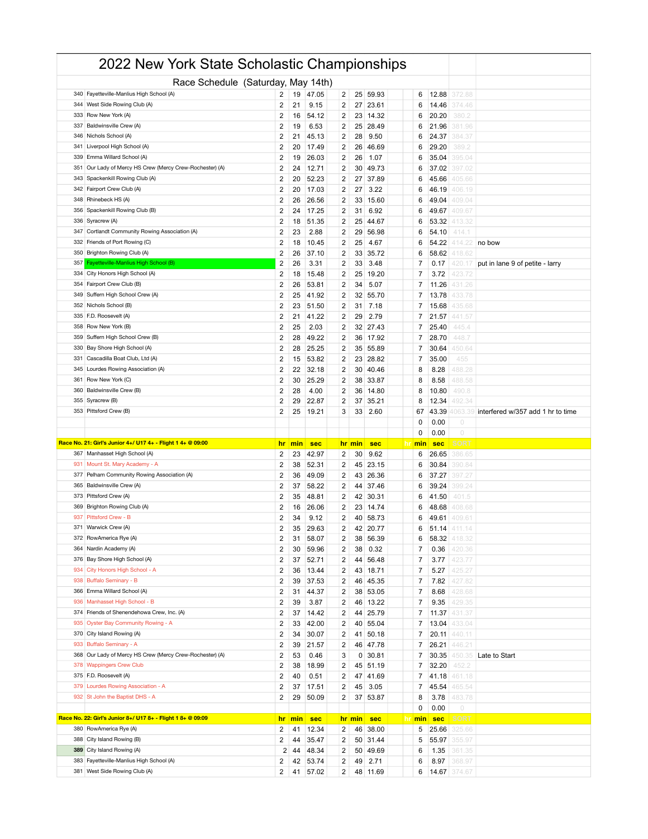|     | 2022 New York State Scholastic Championships                                     |                              |          |                |                         |          |                      |           |                |                  |                                   |
|-----|----------------------------------------------------------------------------------|------------------------------|----------|----------------|-------------------------|----------|----------------------|-----------|----------------|------------------|-----------------------------------|
|     | Race Schedule (Saturday, May 14th)                                               |                              |          |                |                         |          |                      |           |                |                  |                                   |
|     | 340 Fayetteville-Manlius High School (A)                                         | 2                            | 19       | 47.05          | 2                       |          | 25 59.93             | 6         | 12.88          | 372.88           |                                   |
|     | 344 West Side Rowing Club (A)                                                    | 2                            | 21       | 9.15           | 2                       | 27       | 23.61                | 6         | 14.46          | 374.46           |                                   |
| 333 | Row New York (A)                                                                 | 2                            | 16       | 54.12          | 2                       | 23       | 14.32                | 6         | 20.20          | 380.2            |                                   |
| 337 | Baldwinsville Crew (A)                                                           | $\overline{2}$               | 19       | 6.53           | 2                       | 25       | 28.49                | 6         | 21.96          | 381.96           |                                   |
|     | 346 Nichols School (A)                                                           | 2                            | 21       | 45.13          | 2                       | 28       | 9.50                 | 6         | 24.37          | 384.37           |                                   |
| 341 | Liverpool High School (A)                                                        | 2                            | 20       | 17.49          | $\overline{2}$          | 26       | 46.69                | 6         | 29.20          | 389.2            |                                   |
| 339 | Emma Willard School (A)                                                          | $\overline{2}$               | 19       | 26.03          | 2                       | 26       | 1.07                 | 6         | 35.04          | 395.04           |                                   |
|     | 351 Our Lady of Mercy HS Crew (Mercy Crew-Rochester) (A)                         | $\overline{\mathbf{c}}$      | 24       | 12.71          | 2                       | 30       | 49.73                | 6         | 37.02          | 397.02           |                                   |
| 343 | Spackenkill Rowing Club (A)                                                      | 2                            | 20       | 52.23          | $\overline{2}$          | 27       | 37.89                | 6         | 45.66          | 405.66           |                                   |
|     | 342 Fairport Crew Club (A)                                                       | $\overline{2}$               | 20       | 17.03          | 2                       | 27       | 3.22                 | 6         | 46.19          | 406.19           |                                   |
|     | 348 Rhinebeck HS (A)                                                             | $\overline{\mathbf{c}}$      | 26       | 26.56          | 2                       | 33       | 15.60                | 6         | 49.04          | 409.04           |                                   |
| 356 | Spackenkill Rowing Club (B)                                                      | 2                            | 24       | 17.25          | $\overline{2}$          | 31       | 6.92                 | 6         | 49.67          | 409.67           |                                   |
| 347 | 336 Syracrew (A)<br>Cortlandt Community Rowing Association (A)                   | $\overline{2}$               | 18       | 51.35          | 2                       | 25       | 44.67                | 6         | 53.32          | 113.32           |                                   |
| 332 | Friends of Port Rowing (C)                                                       | 2<br>2                       | 23<br>18 | 2.88<br>10.45  | 2<br>$\overline{2}$     | 29<br>25 | 56.98<br>4.67        | 6<br>6    | 54.10<br>54.22 | 414.1<br>114.22  | no bow                            |
| 350 | Brighton Rowing Club (A)                                                         | $\overline{2}$               | 26       | 37.10          | 2                       | 33       | 35.72                | 6         | 58.62          | 418.62           |                                   |
| 357 | Fayetteville-Manlius High School (B)                                             | 2                            | 26       | 3.31           | 2                       | 33       | 3.48                 | 7         | 0.17           | 420.17           | put in lane 9 of petite - larry   |
| 334 | City Honors High School (A)                                                      | 2                            | 18       | 15.48          | $\overline{2}$          | 25       | 19.20                | 7         | 3.72           | 423.72           |                                   |
|     | 354 Fairport Crew Club (B)                                                       | 2                            | 26       | 53.81          | 2                       | 34       | 5.07                 | 7         | 11.26          | 431.26           |                                   |
|     | 349 Suffern High School Crew (A)                                                 | 2                            | 25       | 41.92          | 2                       | 32       | 55.70                | 7         | 13.78          | 433.78           |                                   |
| 352 | Nichols School (B)                                                               | 2                            | 23       | 51.50          | 2                       | 31       | 7.18                 | 7         | 15.68          | 435.68           |                                   |
|     | 335 F.D. Roosevelt (A)                                                           | 2                            | 21       | 41.22          | 2                       | 29       | 2.79                 | 7         | 21.57          | 441.57           |                                   |
|     | 358 Row New York (B)                                                             | 2                            | 25       | 2.03           | 2                       | 32       | 27.43                | 7         | 25.40          | 445.4            |                                   |
| 359 | Suffern High School Crew (B)                                                     | 2                            | 28       | 49.22          | 2                       | 36       | 17.92                | 7         | 28.70          | 448.7            |                                   |
| 330 | Bay Shore High School (A)                                                        | 2                            | 28       | 25.25          | 2                       | 35       | 55.89                | 7         | 30.64          | 150.64           |                                   |
|     | 331 Cascadilla Boat Club, Ltd (A)                                                | 2                            | 15       | 53.82          | 2                       | 23       | 28.82                | 7         | 35.00          | 455              |                                   |
| 345 | Lourdes Rowing Association (A)                                                   | 2                            | 22       | 32.18          | 2                       | 30       | 40.46                | 8         | 8.28           | 488.28           |                                   |
|     | 361 Row New York (C)                                                             | 2                            | 30       | 25.29          | 2                       | 38       | 33.87                | 8         | 8.58           | 488.58           |                                   |
|     | 360 Baldwinsville Crew (B)                                                       | 2                            | 28       | 4.00           | 2                       | 36       | 14.80                | 8         | 10.80          | 490.8            |                                   |
|     | 355 Syracrew (B)                                                                 | 2                            | 29       | 22.87          | $\overline{\mathbf{c}}$ | 37       | 35.21                | 8         | 12.34          | 192.34           |                                   |
|     | 353 Pittsford Crew (B)                                                           | 2                            | 25       | 19.21          | 3                       | 33       | 2.60                 | 67        | 43.39          | 063.39           | interfered w/357 add 1 hr to time |
|     |                                                                                  |                              |          |                |                         |          |                      | 0         | 0.00           | $\circ$          |                                   |
|     |                                                                                  |                              |          |                |                         |          |                      |           |                |                  |                                   |
|     |                                                                                  |                              |          |                |                         |          |                      | 0         | 0.00           | $\circ$          |                                   |
|     | Race No. 21: Girl's Junior 4+/ U17 4+ - Flight 1 4+ @ 09:00                      | <u>hr</u>                    | min      | <b>sec</b>     |                         | hr min   | <b>sec</b>           | hr min    | <b>sec</b>     | SORT             |                                   |
|     | 367 Manhasset High School (A)                                                    | 2                            | 23       | 42.97          | $\overline{2}$          | 30       | 9.62                 | 6         | 26.65          | 386.65           |                                   |
| 931 | Mount St. Mary Academy - A                                                       | $\overline{\mathbf{c}}$      | 38       | 52.31          | 2                       | 45       | 23.15                | 6         | 30.84          | 390.84           |                                   |
|     | 377 Pelham Community Rowing Association (A)<br>365 Baldwinsville Crew (A)        | 2                            | 36       | 49.09          | 2                       | 43       | 26.36                | 6         | 37.27          | 397.27           |                                   |
|     | 373 Pittsford Crew (A)                                                           | 2<br>2                       | 37<br>35 | 58.22<br>48.81 | 2<br>$\overline{2}$     | 44<br>42 | 37.46<br>30.31       | 6<br>6    | 39.24<br>41.50 | 399.24<br>401.5  |                                   |
|     | 369 Brighton Rowing Club (A)                                                     | 2                            | 16       | 26.06          | 2                       | 23       | 14.74                | 6         | 48.68          | 408.68           |                                   |
|     | 937 Pittsford Crew - B                                                           | 2                            | 34       | 9.12           | 2                       |          | 40 58.73             | 6         | 49.61          | 409.61           |                                   |
|     | 371 Warwick Crew (A)                                                             | 2                            | 35       | 29.63          | 2                       |          | 42 20.77             | 6         | 51.14          | 411.14           |                                   |
|     | 372 RowAmerica Rye (A)                                                           | 2                            | 31       | 58.07          | 2                       |          | 38 56.39             | 6         | 58.32          | 418.32           |                                   |
|     | 364 Nardin Academy (A)                                                           | 2                            | 30       | 59.96          | 2                       | 38       | 0.32                 | 7         | 0.36           | 420.36           |                                   |
|     | 376 Bay Shore High School (A)                                                    | 2                            | 37       | 52.71          | 2                       | 44       | 56.48                | 7         | 3.77           | 423.77           |                                   |
| 934 | City Honors High School - A                                                      | $\mathbf 2$                  | 36       | 13.44          | 2                       |          | 43 18.71             | 7         | 5.27           | 425.27           |                                   |
|     | 938 Buffalo Seminary - B                                                         | 2                            | 39       | 37.53          | 2                       |          | 46 45.35             | 7         | 7.82           | 427.82           |                                   |
|     | 366 Emma Willard School (A)                                                      | 2                            | 31       | 44.37          | 2                       | 38       | 53.05                | 7         | 8.68           | 428.68           |                                   |
|     | 936 Manhasset High School - B                                                    | 2                            | 39       | 3.87           | 2                       |          | 46 13.22             | 7         | 9.35           | 429.35           |                                   |
|     | 374 Friends of Shenendehowa Crew, Inc. (A)                                       | 2                            | 37       | 14.42          | 2                       |          | 44 25.79             | 7         | 11.37          | 431.37           |                                   |
| 935 | Oyster Bay Community Rowing - A                                                  | 2                            | 33       | 42.00          | 2                       |          | 40 55.04             | 7         | 13.04          | 433.04           |                                   |
|     | 370 City Island Rowing (A)                                                       | 2                            | 34       | 30.07          | 2                       |          | 41 50.18             | 7         | 20.11          | 440.11           |                                   |
| 933 | Buffalo Seminary - A<br>368 Our Lady of Mercy HS Crew (Mercy Crew-Rochester) (A) | $\overline{\mathbf{c}}$      | 39       | 21.57          | 2                       |          | 46 47.78             | 7         | 26.21          | 446.21           |                                   |
|     | 378 Wappingers Crew Club                                                         | 2                            | 53       | 0.46           | 3                       | 0        | 30.81                | 7         | 30.35          | 450.35           | Late to Start                     |
|     | 375 F.D. Roosevelt (A)                                                           | 2<br>$\overline{\mathbf{c}}$ | 38<br>40 | 18.99<br>0.51  | 2<br>2                  |          | 45 51.19<br>47 41.69 | 7<br>7    | 32.20<br>41.18 | 452.2<br>461.18  |                                   |
| 379 | Lourdes Rowing Association - A                                                   | 2                            | 37       | 17.51          | 2                       | 45       | 3.05                 | 7         | 45.54          | 465.54           |                                   |
|     | 932 St John the Baptist DHS - A                                                  | 2                            | 29       | 50.09          | 2                       |          | 37 53.87             | 8         | 3.78           | 483.78           |                                   |
|     |                                                                                  |                              |          |                |                         |          |                      | 0         | 0.00           | $\circ$          |                                   |
|     | Race No. 22: Girl's Junior 8+/ U17 8+ - Flight 1 8+ @ 09:09                      | <u>hr</u>                    | min      | sec            |                         | hr min   | sec                  | hr<br>min | <b>sec</b>     | <b>SORT</b>      |                                   |
|     | 380 RowAmerica Rye (A)                                                           | 2                            | 41       | 12.34          | 2                       | 46       | 38.00                | 5         | 25.66          | 325.66           |                                   |
|     | 388 City Island Rowing (B)                                                       | 2                            | 44       | 35.47          | 2                       |          | 50 31.44             | 5         | 55.97          | 355.97           |                                   |
|     | 389 City Island Rowing (A)                                                       | 2                            | 44       | 48.34          | 2                       |          | 50 49.69             | 6         | 1.35           | 361.35           |                                   |
|     | 383 Fayetteville-Manlius High School (A)<br>381 West Side Rowing Club (A)        | 2<br>2                       | 42<br>41 | 53.74<br>57.02 | 2<br>2                  | 49       | 2.71<br>48 11.69     | 6<br>6    | 8.97<br>14.67  | 368.97<br>374.67 |                                   |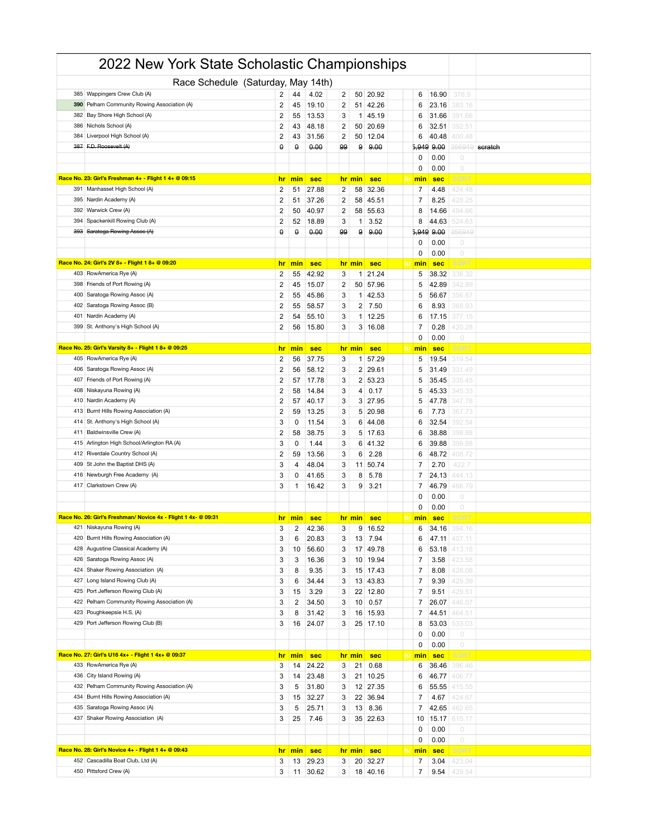|            | 2022 New York State Scholastic Championships                   |                         |                |                     |                         |                |                |                  |                     |                       |         |
|------------|----------------------------------------------------------------|-------------------------|----------------|---------------------|-------------------------|----------------|----------------|------------------|---------------------|-----------------------|---------|
|            | Race Schedule (Saturday, May 14th)                             |                         |                |                     |                         |                |                |                  |                     |                       |         |
| 385        | Wappingers Crew Club (A)                                       | 2                       | 44             | 4.02                | 2                       | 50             | 20.92          | 6                | 16.90               | 376.9                 |         |
| 390        | Pelham Community Rowing Association (A)                        | $\overline{2}$          | 45             | 19.10               | 2                       | 51             | 42.26          | 6                | 23.16               | 383.16                |         |
| 382        | Bay Shore High School (A)                                      | $\overline{2}$          | 55             | 13.53               | 3                       | 1              | 45.19          | 6                | 31.66               | 391.66                |         |
| 386        | Nichols School (A)                                             | $\overline{2}$          | 43             | 48.18               | 2                       | 50             | 20.69          | 6                | 32.51               | 392.51                |         |
| 384        | Liverpool High School (A)                                      | $\overline{2}$          | 43             | 31.56               | 2                       | 50             | 12.04          | 6                | 40.48               | 400.48                |         |
| 387        | F.D. Roosevelt (A)                                             | $\theta$                | θ              | 0.00                | 99                      | 9              | 9.00           | 5,949            | 9.00                | 156949                | scratch |
|            |                                                                |                         |                |                     |                         |                |                | 0                | 0.00                | $\circ$               |         |
|            |                                                                |                         |                |                     |                         |                |                | 0                | 0.00                | $\circlearrowright$   |         |
|            | Race No. 23: Girl's Freshman 4+ - Flight 1 4+ @ 09:15          | <u>hr</u>               | min            | <b>sec</b>          |                         | hr min         | sec            | <u>hr</u><br>min | <b>sec</b>          | SORT                  |         |
| 391        | Manhasset High School (A)                                      | $\overline{2}$          | 51             | 27.88               | 2                       | 58             | 32.36          | 7                | 4.48                | 424.48                |         |
| 395        | Nardin Academy (A)                                             | $\overline{2}$          | 51             | 37.26               | 2                       | 58             | 45.51          | 7                | 8.25                | 428.25                |         |
| 392        | Warwick Crew (A)                                               | 2                       | 50             | 40.97               | $\overline{\mathbf{c}}$ | 58             | 55.63          | 8                | 14.66               | 494.66                |         |
| 394        | Spackenkill Rowing Club (A)                                    | $\overline{\mathbf{c}}$ | 52             | 18.89               | 3                       | -1             | 3.52           | 8                | 44.63               | 524.63                |         |
| 393        | Saratoga Rowing Assoc (A)                                      | θ                       | θ              | 0.00                | 99                      | 9              | 9.00           | 5,949            | 9.00                | 156949                |         |
|            |                                                                |                         |                |                     |                         |                |                | 0                | 0.00                | 0<br>$\circ$          |         |
|            | Race No. 24: Girl's 2V 8+ - Flight 1 8+ @ 09:20                | hr                      | min            |                     |                         |                | <b>sec</b>     | 0                | 0.00                | SORT                  |         |
| 403        | RowAmerica Rye (A)                                             | 2                       | 55             | <b>sec</b><br>42.92 | 3                       | hr min<br>1    | 21.24          | hr<br>min<br>5   | <b>sec</b><br>38.32 | 338.32                |         |
| 398        | Friends of Port Rowing (A)                                     | $\overline{2}$          | 45             | 15.07               | 2                       | 50             | 57.96          | 5                | 42.89               | 342.89                |         |
| 400        | Saratoga Rowing Assoc (A)                                      | $\overline{2}$          | 55             | 45.86               | 3                       | 1 <sup>1</sup> | 42.53          | 5                | 56.67               | 356.67                |         |
| 402        | Saratoga Rowing Assoc (B)                                      | $\overline{2}$          | 55             | 58.57               | 3                       | 2              | 7.50           | 6                | 8.93                | 368.93                |         |
| 401        | Nardin Academy (A)                                             | $\overline{2}$          | 54             | 55.10               | 3                       | 1              | 12.25          | 6                | 17.15               | 377.15                |         |
| 399        | St. Anthony's High School (A)                                  | $\overline{2}$          | 56             | 15.80               | 3                       |                | 3   16.08      | 7                | 0.28                | 420.28                |         |
|            |                                                                |                         |                |                     |                         |                |                | 0                | 0.00                | $\circ$               |         |
|            | Race No. 25: Girl's Varsity 8+ - Flight 1 8+ @ 09:25           | hr                      | min            | <b>sec</b>          |                         | hr min         | sec            | min<br><u>nr</u> | <b>sec</b>          | SORT                  |         |
|            | 405 RowAmerica Rye (A)                                         | $\overline{2}$          | 56             | 37.75               | 3                       | 1              | 57.29          | 5                | 19.54               | 319.54                |         |
| 406        | Saratoga Rowing Assoc (A)                                      | $\overline{2}$          | 56             | 58.12               | 3                       | 2              | 29.61          | 5                | 31.49               | 331.49                |         |
| 407        | Friends of Port Rowing (A)                                     | $\overline{2}$          | 57             | 17.78               | 3                       |                | 2 53.23        | 5                | 35.45               | 335.45                |         |
| 408        | Niskayuna Rowing (A)                                           | $\overline{2}$          | 58             | 14.84               | 3                       | 4              | 0.17           | 5                | 45.33               | 345.33                |         |
| 410        | Nardin Academy (A)                                             | $\overline{2}$          | 57             | 40.17               | 3                       | 3              | 27.95          | 5                | 47.78               | 347.78                |         |
| 413        | Burnt Hills Rowing Association (A)                             | $\overline{2}$          | 59             | 13.25               | 3                       | 5              | 20.98          | 6                | 7.73                | 367.73                |         |
| 414        | St. Anthony's High School (A)                                  | 3                       | 0              | 11.54               | 3                       | 6              | 44.08          | 6                | 32.54               | 392.54                |         |
| 411        | Baldwinsville Crew (A)                                         | $\overline{2}$          | 58             | 38.75               | 3                       | 5              | 17.63          | 6                | 38.88               | 398.88                |         |
| 415        | Arlington High School/Arlington RA (A)                         | 3                       | 0              | 1.44                | 3                       | 6              | 41.32          | 6                | 39.88               | 399.88                |         |
|            | 412 Riverdale Country School (A)                               | $\overline{2}$          | 59             | 13.56               | 3                       | 6              | 2.28           | 6                | 48.72               | 408.72<br>422.7       |         |
| 409<br>416 | St John the Baptist DHS (A)<br>Newburgh Free Academy (A)       | 3<br>3                  | 4<br>0         | 48.04<br>41.65      | 3<br>3                  | 11<br>8        | 50.74<br>5.78  | 7<br>7           | 2.70<br>24.13       | 144.13                |         |
|            | 417 Clarkstown Crew (A)                                        | 3                       | 1              | 16.42               | 3                       | 9              | 3.21           | 7                | 46.79               | 466.79                |         |
|            |                                                                |                         |                |                     |                         |                |                | 0                | 0.00                | 0                     |         |
|            |                                                                |                         |                |                     |                         |                |                | 0                | 0.00                | $\circ$               |         |
|            | Race No. 26: Girl's Freshman/ Novice 4x - Flight 1 4x- @ 09:31 |                         | $hr$ min       | <b>sec</b>          |                         | hr min         | <b>sec</b>     | hr<br>min        | <b>sec</b>          | <b>SORT</b>           |         |
|            | 421 Niskayuna Rowing (A)                                       | 3                       | $\overline{2}$ | 42.36               | $3 \mid$                |                | $9 \mid 16.52$ | 6                | 34.16               | 394. I C              |         |
|            | 420 Burnt Hills Rowing Association (A)                         | 3                       | 6              | 20.83               | 3                       | 13             | 7.94           | 6                | 47.11               | 407.11                |         |
|            | 428 Augustine Classical Academy (A)                            | 3                       | 10             | 56.60               | 3                       |                | 17 49.78       | 6                | 53.18               | 413.18                |         |
| 426        | Saratoga Rowing Assoc (A)                                      | 3                       | 3              | 16.36               | 3                       | 10             | 19.94          | 7                | 3.58                | 423.58                |         |
|            | 424 Shaker Rowing Association (A)                              | 3                       | 8              | 9.35                | 3                       | 15             | 17.43          | 7                | 8.08                | 428.08                |         |
|            | 427 Long Island Rowing Club (A)                                | 3                       | 6              | 34.44               | 3                       |                | 13 43.83       | 7                | 9.39                | 429.39                |         |
| 425        | Port Jefferson Rowing Club (A)                                 | 3                       | 15             | 3.29                | 3                       |                | 22 12.80       | 7                | 9.51                | 429.51                |         |
| 422        | Pelham Community Rowing Association (A)                        | 3                       | 2              | 34.50               | 3                       | 10             | 0.57           | 7                | 26.07               | 446.07                |         |
| 423        | Poughkeepsie H.S. (A)                                          | 3                       | 8              | 31.42               | 3                       | 16             | 15.93          | 7                | 44.51               | 464.51                |         |
| 429        | Port Jefferson Rowing Club (B)                                 | 3                       | 16             | 24.07               | 3                       |                | 25 17.10       | 8                | 53.03               | 533.03                |         |
|            |                                                                |                         |                |                     |                         |                |                | 0                | 0.00                | $\circ$               |         |
|            | Race No. 27: Girl's U16 4x+ - Flight 1 4x+ @ 09:37             |                         |                |                     |                         | hr min         |                | 0                | 0.00                | $\circ$               |         |
|            | 433 RowAmerica Rye (A)                                         | hr<br>3                 | min<br>14      | sec                 |                         | 21             | sec<br>0.68    | hr<br>min<br>6   | <b>sec</b><br>36.46 | <b>SORT</b><br>396.46 |         |
|            | 436 City Island Rowing (A)                                     | 3                       | 14             | 24.22<br>23.48      | 3<br>3                  | 21             | 10.25          | 6                | 46.77               | 406.77                |         |
| 432        | Pelham Community Rowing Association (A)                        | 3                       | 5              | 31.80               | 3                       |                | 12 27.35       | 6                | 55.55               | 415.55                |         |
|            | 434 Burnt Hills Rowing Association (A)                         | 3                       | 15             | 32.27               | 3                       |                | 22 36.94       | 7                | 4.67                | 424.67                |         |
|            | 435 Saratoga Rowing Assoc (A)                                  | 3                       | 5              | 25.71               | 3                       | 13             | 8.36           | 7                | 42.65               | 462.65                |         |
| 437        | Shaker Rowing Association (A)                                  | 3                       | 25             | 7.46                | 3                       |                | 35 22.63       | 10               | 15.17               | 615.17                |         |
|            |                                                                |                         |                |                     |                         |                |                | 0                | 0.00                | $\circ$               |         |
|            |                                                                |                         |                |                     |                         |                |                | 0                | 0.00                | $\circ$               |         |
|            | Race No. 28: Girl's Novice 4+ - Flight 1 4+ @ 09:43            | <u>hr</u>               | min            | sec                 |                         | hr min         | sec            | hr<br>min        | <b>sec</b>          | <b>SORT</b>           |         |
|            | 452 Cascadilla Boat Club, Ltd (A)                              | 3                       | 13             | 29.23               | 3                       |                | 20 32.27       | 7                | 3.04                | 423.04                |         |
|            | 450 Pittsford Crew (A)                                         | 3                       |                | 11 30.62            | 3                       |                | 18 40.16       | 7                | 9.54                | 429.54                |         |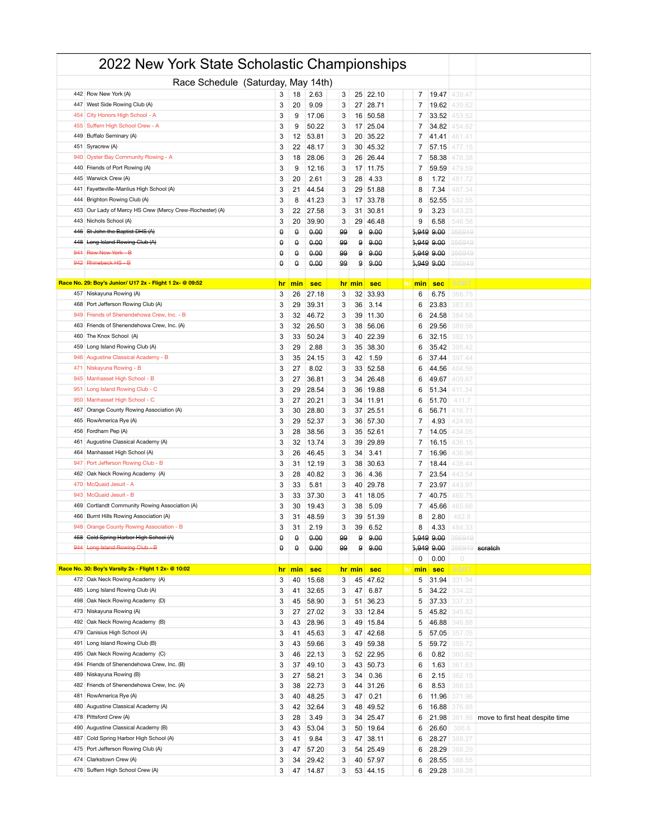|     | 2022 New York State Scholastic Championships                       |                |           |                |        |              |               |                          |                  |                                 |
|-----|--------------------------------------------------------------------|----------------|-----------|----------------|--------|--------------|---------------|--------------------------|------------------|---------------------------------|
|     | Race Schedule (Saturday, May 14th)                                 |                |           |                |        |              |               |                          |                  |                                 |
|     | 442 Row New York (A)                                               | 3              | 18        | 2.63           | 3      |              | 25 22.10      | $\overline{7}$<br>19.47  | 439.47           |                                 |
|     | 447 West Side Rowing Club (A)                                      | 3              | 20        | 9.09           | 3      | 27           | 28.71         | 7<br>19.62               | 439.62           |                                 |
| 454 | City Honors High School - A                                        | 3              | 9         | 17.06          | 3      | 16           | 50.58         | 7<br>33.52               | 453.52           |                                 |
| 455 | Suffern High School Crew - A                                       | 3              | 9         | 50.22          | 3      | 17           | 25.04         | $\overline{7}$<br>34.82  | 154.82           |                                 |
|     | 449 Buffalo Seminary (A)                                           | 3              | 12        | 53.81          | 3      | 20           | 35.22         | 7<br>41.41               | 461.41           |                                 |
| 451 | Syracrew (A)                                                       | 3              | 22        | 48.17          | 3      | 30           | 45.32         | 7<br>57.15               | 477.15           |                                 |
| 940 | Oyster Bay Community Rowing - A                                    | 3              | 18        | 28.06          | 3      | 26           | 26.44         | 7<br>58.38               | 478.38           |                                 |
|     | 440 Friends of Port Rowing (A)                                     | 3              | 9         | 12.16          | 3      |              | 17 11.75      | 7<br>59.59               | 479.59           |                                 |
| 445 | Warwick Crew (A)                                                   | 3              | 20        | 2.61           | 3      | 28           | 4.33          | 8<br>1.72                | 481.72           |                                 |
|     | 441 Fayetteville-Manlius High School (A)                           | 3              | 21        | 44.54          | 3      | 29           | 51.88         | 8<br>7.34                | 487.34           |                                 |
|     | 444 Brighton Rowing Club (A)                                       | 3              | 8         | 41.23          | 3      | 17           | 33.78         | 52.55<br>8               | 532.55           |                                 |
| 453 | Our Lady of Mercy HS Crew (Mercy Crew-Rochester) (A)               | 3              | 22        | 27.58          | 3      | 31           | 30.81         | 9<br>3.23                | 543.23           |                                 |
| 443 | Nichols School (A)                                                 | 3              | 20        | 39.90          | 3      | 29           | 46.48         | 9<br>6.58                | 546.58           |                                 |
|     | 446 St John the Baptist DHS (A)                                    | θ              | θ         | 0.00           | 99     | 9            | 9.00          | 5,949 9.00               | 356949           |                                 |
| 448 | Long Island Rowing Club (A)                                        | θ              | θ         | 0.00           | 99     | 9            | 9.00          | 5,949 9.00               | 356949           |                                 |
|     | 941 Row New York - B                                               | $\theta$       | θ         | 0.00           | 99     | 9            | 9.00          | 5,949 9.00               | 356949           |                                 |
| 942 | Rhinebeck HS - B                                                   | θ              | θ         | 0.00           | 99     | 9            | 9.00          | 5,949 9.00               | 356949           |                                 |
|     |                                                                    |                |           |                |        |              |               |                          |                  |                                 |
|     | Race No. 29: Boy's Junior/ U17 2x - Flight 1 2x- @ 09:52           | <u>hr</u><br>3 | min<br>26 | <b>sec</b>     |        | hr min<br>32 | sec           | hr min<br><b>sec</b>     | <b>SOR1</b>      |                                 |
|     | 457 Niskayuna Rowing (A)<br>468 Port Jefferson Rowing Club (A)     |                |           | 27.18          | 3      |              | 33.93         | 6<br>6.75                | 366.75           |                                 |
|     | 949 Friends of Shenendehowa Crew, Inc. - B                         | 3<br>3         | 29<br>32  | 39.31<br>46.72 | 3<br>3 | 36<br>39     | 3.14<br>11.30 | 6<br>23.83<br>6<br>24.58 | 383.83<br>384.58 |                                 |
|     | 463 Friends of Shenendehowa Crew, Inc. (A)                         | 3              | 32        | 26.50          | 3      | 38           | 56.06         | 29.56<br>6               | 389.56           |                                 |
|     | 460 The Knox School (A)                                            | 3              | 33        | 50.24          | 3      | 40           | 22.39         | 32.15<br>6               | 392.15           |                                 |
| 459 | Long Island Rowing Club (A)                                        | 3              | 29        | 2.88           | 3      | 35           | 38.30         | 6<br>35.42               | 395.42           |                                 |
| 946 | Augustine Classical Academy - B                                    | 3              | 35        | 24.15          | 3      | 42           | 1.59          | 37.44<br>6               | 397.44           |                                 |
|     | 471 Niskayuna Rowing - B                                           | 3              | 27        | 8.02           | 3      | 33           | 52.58         | 6<br>44.56               | 404.56           |                                 |
| 945 | Manhasset High School - B                                          | 3              | 27        | 36.81          | 3      | 34           | 26.48         | 6<br>49.67               | 409.67           |                                 |
| 951 | Long Island Rowing Club - C                                        | 3              | 29        | 28.54          | 3      | 36           | 19.88         | 51.34<br>6               | 411.34           |                                 |
|     | 950   Manhasset High School - C                                    | 3              | 27        | 20.21          | 3      | 34           | 11.91         | 51.70<br>6               | 411.7            |                                 |
| 467 | Orange County Rowing Association (A)                               | 3              | 30        | 28.80          | 3      | 37           | 25.51         | 6<br>56.71               | 416.71           |                                 |
| 465 | RowAmerica Rye (A)                                                 | 3              | 29        | 52.37          | 3      | 36           | 57.30         | 4.93<br>7                | 424.93           |                                 |
|     | 456 Fordham Pep (A)                                                | 3              | 28        | 38.56          | 3      | 35           | 52.61         | 7<br>14.05               | 434.05           |                                 |
| 461 | Augustine Classical Academy (A)                                    | 3              | 32        | 13.74          | 3      | 39           | 29.89         | 7<br>16.15               | 436.15           |                                 |
| 464 | Manhasset High School (A)                                          | 3              | 26        | 46.45          | 3      | 34           | 3.41          | 16.96<br>7               | 436.96           |                                 |
| 947 | Port Jefferson Rowing Club - B                                     | 3              | 31        | 12.19          | 3      | 38           | 30.63         | 7<br>18.44               | 438.44           |                                 |
|     | 462 Oak Neck Rowing Academy (A)                                    | 3              | 28        | 40.82          | 3      | 36           | 4.36          | 7<br>23.54               | 443.54           |                                 |
| 470 | McQuaid Jesuit - A                                                 | 3              | 33        | 5.81           | 3      | 40           | 29.78         | 23.97<br>7               | 443.97           |                                 |
|     | 943 McQuaid Jesuit - B                                             | 3              | 33        | 37.30          | 3      | 41           | 18.05         | 7<br>40.75               | 460.75           |                                 |
|     | 469 Cortlandt Community Rowing Association (A)                     | 3              | 30        | 19.43          | 3      | 38           | 5.09          | 7<br>45.66               | 465.66           |                                 |
|     | 466 Burnt Hills Rowing Association (A)                             | 3              | 31        | 48.59          | 3      |              | 39 51.39      | 8<br>2.80                | 482.8            |                                 |
|     | 948 Orange County Rowing Association - B                           | 3              | 31        | 2.19           | 3      |              | 39 6.52       | 8<br>4.33                | 484.3            |                                 |
|     | 458 Cold Spring Harbor High School (A)                             | θ              | θ         | 0.00           | 99     | 9            | 9.00          | 5,949 9.00               | 356949           |                                 |
|     | 944 Long Island Rowing Club - B                                    | θ              | θ         | 0.00           | 99     | 9            | 9.00          | 5,949 9.00               | 356949           | scratch                         |
|     |                                                                    |                |           |                |        |              |               | 0<br>0.00                | $\circ$          |                                 |
|     | Race No. 30: Boy's Varsity 2x - Flight 1 2x- @ 10:02               | <u>hr</u>      | min       | <b>sec</b>     |        | hr min       | sec           | hr<br>min<br><b>sec</b>  | SORT             |                                 |
|     | 472 Oak Neck Rowing Academy (A)<br>485 Long Island Rowing Club (A) | 3<br>3         | 40        | 15.68          | 3      | 45           | 47.62<br>6.87 | 31.94<br>5<br>5          | 331.94           |                                 |
|     | 498 Oak Neck Rowing Academy (D)                                    | 3              | 41        | 32.65<br>58.90 | 3<br>3 | 47<br>51     | 36.23         | 34.22<br>5<br>37.33      | 334.22<br>337.33 |                                 |
|     | 473 Niskayuna Rowing (A)                                           | 3              | 45<br>27  | 27.02          | 3      | 33           | 12.84         | 45.82<br>5               | 345.82           |                                 |
| 492 | Oak Neck Rowing Academy (B)                                        | 3              | 43        | 28.96          | 3      | 49           | 15.84         | 5<br>46.88               | 346.88           |                                 |
|     | 479 Canisius High School (A)                                       | 3              | 41        | 45.63          | 3      | 47           | 42.68         | 5<br>57.05               | 357.05           |                                 |
| 491 | Long Island Rowing Club (B)                                        | 3              | 43        | 59.66          | 3      | 49           | 59.38         | 59.72<br>5               | 359.72           |                                 |
| 495 | Oak Neck Rowing Academy (C)                                        | 3              | 46        | 22.13          | 3      |              | 52 22.95      | 6<br>0.82                | 360.82           |                                 |
|     | 494 Friends of Shenendehowa Crew, Inc. (B)                         | 3              | 37        | 49.10          | 3      | 43           | 50.73         | 6<br>1.63                | 361.63           |                                 |
| 489 | Niskayuna Rowing (B)                                               | 3              | 27        | 58.21          | 3      | 34           | 0.36          | 6<br>2.15                | 362.15           |                                 |
|     | 482 Friends of Shenendehowa Crew, Inc. (A)                         | 3              | 38        | 22.73          | 3      | 44           | 31.26         | 6<br>8.53                | 368.53           |                                 |
|     | 481 RowAmerica Rye (A)                                             | 3              | 40        | 48.25          | 3      | 47           | 0.21          | 6<br>11.96               | 371.96           |                                 |
| 480 | Augustine Classical Academy (A)                                    | 3              | 42        | 32.64          | 3      | 48           | 49.52         | 6<br>16.88               | 376.88           |                                 |
|     | 478 Pittsford Crew (A)                                             | 3              | 28        | 3.49           | 3      | 34           | 25.47         | 6<br>21.98               | 381.98           | move to first heat despite time |
|     | 490 Augustine Classical Academy (B)                                | 3              | 43        | 53.04          | 3      |              | 50 19.64      | 6<br>26.60               | 386.6            |                                 |
| 487 | Cold Spring Harbor High School (A)                                 | 3              | 41        | 9.84           | 3      | 47           | 38.11         | 28.27<br>6               | 388.27           |                                 |
|     | 475 Port Jefferson Rowing Club (A)                                 | 3              | 47        | 57.20          | 3      | 54           | 25.49         | 6<br>28.29               | 388.29           |                                 |
|     | 474 Clarkstown Crew (A)                                            | 3              | 34        | 29.42          | 3      |              | 40 57.97      | 6<br>28.55               | 388.55           |                                 |
|     | 476 Suffern High School Crew (A)                                   | 3              | 47        | 14.87          | 3      |              | 53 44.15      | 6<br>29.28               | 389.28           |                                 |